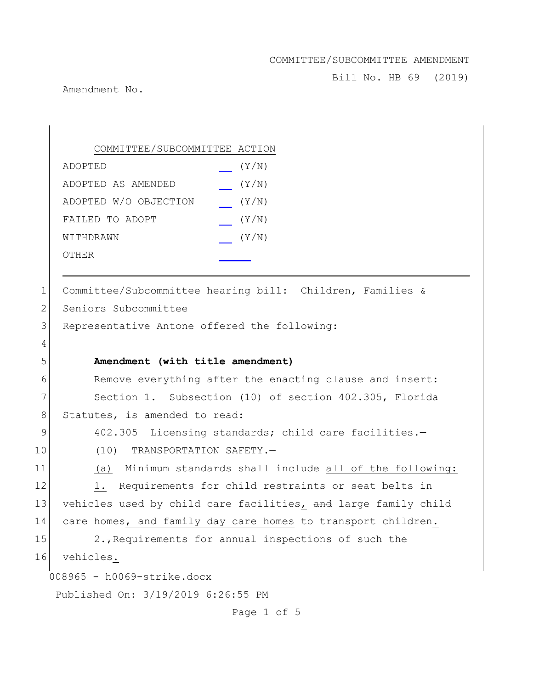Bill No. HB 69 (2019)

Amendment No.

008965 - h0069-strike.docx Published On: 3/19/2019 6:26:55 PM COMMITTEE/SUBCOMMITTEE ACTION ADOPTED (Y/N) ADOPTED AS AMENDED (Y/N) ADOPTED W/O OBJECTION (Y/N) FAILED TO ADOPT (Y/N) WITHDRAWN  $(Y/N)$ OTHER 1 Committee/Subcommittee hearing bill: Children, Families & 2 Seniors Subcommittee 3 Representative Antone offered the following: 4 5 **Amendment (with title amendment)** 6 Remove everything after the enacting clause and insert: 7 Section 1. Subsection (10) of section 402.305, Florida 8 Statutes, is amended to read: 9 402.305 Licensing standards; child care facilities.-10 (10) TRANSPORTATION SAFETY.-11 (a) Minimum standards shall include all of the following: 12 1. Requirements for child restraints or seat belts in 13 vehicles used by child care facilities, and large family child 14 care homes, and family day care homes to transport children. 15 2. $\tau$ Requirements for annual inspections of such the 16 vehicles.

Page 1 of 5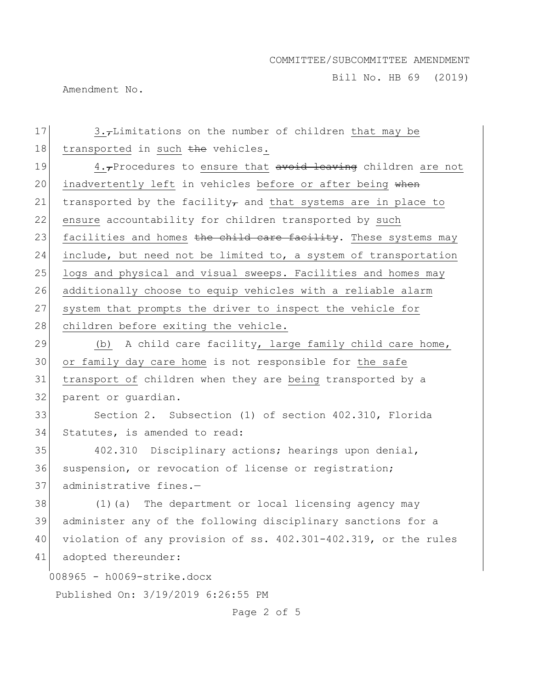Bill No. HB 69 (2019)

Amendment No.

008965 - h0069-strike.docx Published On: 3/19/2019 6:26:55 PM 17  $\vert$  3., Limitations on the number of children that may be 18 transported in such the vehicles. 19  $\vert$  4., Procedures to ensure that avoid leaving children are not 20 inadvertently left in vehicles before or after being when 21 transported by the facility, and that systems are in place to 22 ensure accountability for children transported by such 23 facilities and homes the child care facility. These systems may 24 include, but need not be limited to, a system of transportation 25 logs and physical and visual sweeps. Facilities and homes may 26 additionally choose to equip vehicles with a reliable alarm 27 system that prompts the driver to inspect the vehicle for 28 children before exiting the vehicle. 29  $\vert$  (b) A child care facility, large family child care home, 30 or family day care home is not responsible for the safe 31 transport of children when they are being transported by a 32 parent or quardian. 33 Section 2. Subsection (1) of section 402.310, Florida 34 Statutes, is amended to read: 35 402.310 Disciplinary actions; hearings upon denial, 36 suspension, or revocation of license or registration; 37 administrative fines.-38 (1)(a) The department or local licensing agency may 39 administer any of the following disciplinary sanctions for a 40 violation of any provision of ss. 402.301-402.319, or the rules 41 adopted thereunder:

Page 2 of 5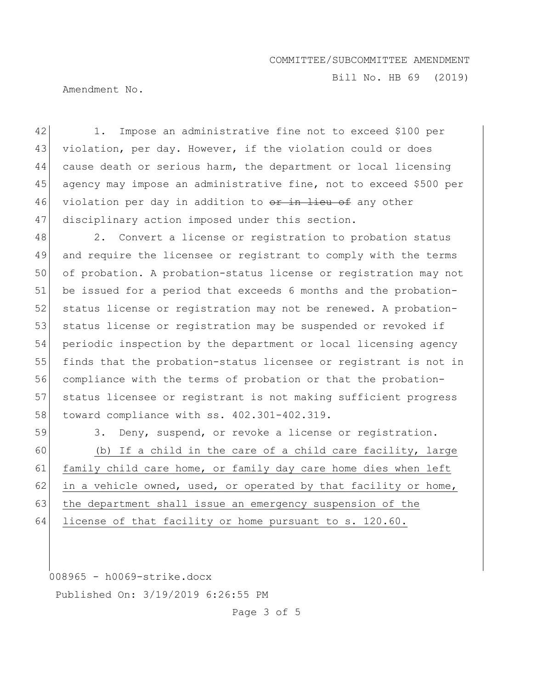Bill No. HB 69 (2019)

Amendment No.

42 1. Impose an administrative fine not to exceed \$100 per 43 violation, per day. However, if the violation could or does 44 cause death or serious harm, the department or local licensing 45 agency may impose an administrative fine, not to exceed \$500 per 46 violation per day in addition to or in lieu of any other 47 disciplinary action imposed under this section.

48 2. Convert a license or registration to probation status 49 and require the licensee or registrant to comply with the terms 50 of probation. A probation-status license or registration may not 51 be issued for a period that exceeds 6 months and the probation-52 status license or registration may not be renewed. A probation-53 status license or registration may be suspended or revoked if 54 periodic inspection by the department or local licensing agency 55 finds that the probation-status licensee or registrant is not in 56 compliance with the terms of probation or that the probation-57 status licensee or registrant is not making sufficient progress 58 toward compliance with ss. 402.301-402.319.

59 3. Deny, suspend, or revoke a license or registration.

60 (b) If a child in the care of a child care facility, large 61 family child care home, or family day care home dies when left 62 in a vehicle owned, used, or operated by that facility or home, 63 the department shall issue an emergency suspension of the 64 license of that facility or home pursuant to s. 120.60.

008965 - h0069-strike.docx

Published On: 3/19/2019 6:26:55 PM

Page 3 of 5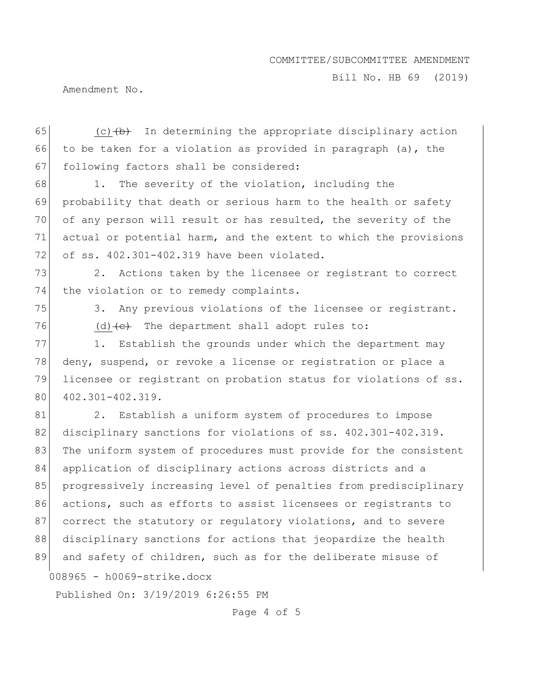Bill No. HB 69 (2019)

Amendment No.

65  $(c)$  (c)  $(b)$  In determining the appropriate disciplinary action 66 to be taken for a violation as provided in paragraph (a), the 67 following factors shall be considered:

68 1. The severity of the violation, including the 69 probability that death or serious harm to the health or safety 70 of any person will result or has resulted, the severity of the 71 actual or potential harm, and the extent to which the provisions 72 of ss. 402.301-402.319 have been violated.

73 2. Actions taken by the licensee or registrant to correct 74 the violation or to remedy complaints.

75 3. Any previous violations of the licensee or registrant.  $76$  (d)  $\leftarrow$  The department shall adopt rules to:

77 1. Establish the grounds under which the department may 78 deny, suspend, or revoke a license or registration or place a 79 licensee or registrant on probation status for violations of ss. 80 402.301-402.319.

008965 - h0069-strike.docx 81 2. Establish a uniform system of procedures to impose 82 disciplinary sanctions for violations of ss. 402.301-402.319. 83 | The uniform system of procedures must provide for the consistent 84 application of disciplinary actions across districts and a 85 progressively increasing level of penalties from predisciplinary 86 actions, such as efforts to assist licensees or registrants to 87 correct the statutory or regulatory violations, and to severe 88 disciplinary sanctions for actions that jeopardize the health 89 and safety of children, such as for the deliberate misuse of

Published On: 3/19/2019 6:26:55 PM

Page 4 of 5